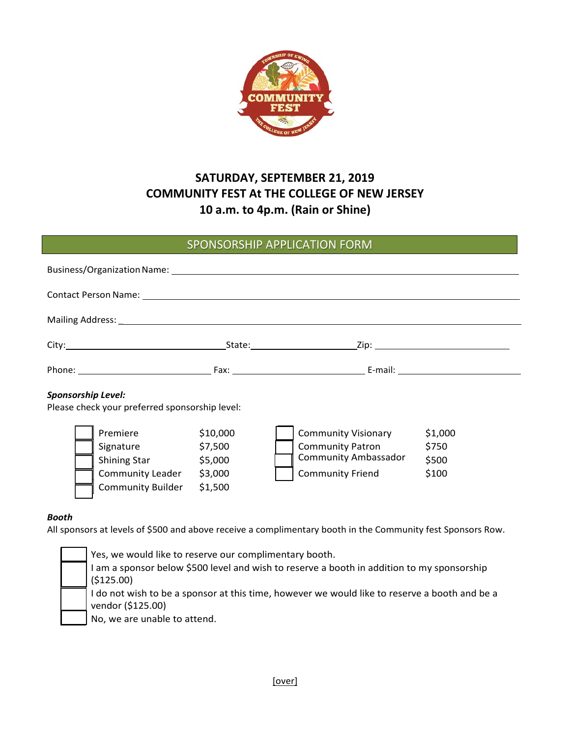

# **SATURDAY, SEPTEMBER 21, 2019 COMMUNITY FEST At THE COLLEGE OF NEW JERSEY 10 a.m. to 4p.m. (Rain or Shine)**

## SPONSORSHIP APPLICATION FORM

| Business/Organization Name: Latin Marchand Marchan Marchan Marchan Marchan Marchan Marchan Marchan Marchan Mar |  |                                                                                                      |                                                      |  |                                                                                                                 |                                    |
|----------------------------------------------------------------------------------------------------------------|--|------------------------------------------------------------------------------------------------------|------------------------------------------------------|--|-----------------------------------------------------------------------------------------------------------------|------------------------------------|
| Contact Person Name: Department of the Contact Person Name: Department of the Contact Person Name: D           |  |                                                                                                      |                                                      |  |                                                                                                                 |                                    |
|                                                                                                                |  |                                                                                                      |                                                      |  |                                                                                                                 |                                    |
|                                                                                                                |  |                                                                                                      |                                                      |  |                                                                                                                 |                                    |
|                                                                                                                |  |                                                                                                      |                                                      |  |                                                                                                                 |                                    |
| <b>Sponsorship Level:</b><br>Please check your preferred sponsorship level:                                    |  |                                                                                                      |                                                      |  |                                                                                                                 |                                    |
|                                                                                                                |  | Premiere<br>Signature<br>Shining Star Shining<br><b>Community Leader</b><br><b>Community Builder</b> | \$10,000<br>\$7,500<br>\$5,000<br>\$3,000<br>\$1,500 |  | <b>Community Visionary</b><br><b>Community Patron</b><br><b>Community Ambassador</b><br><b>Community Friend</b> | \$1,000<br>\$750<br>\$500<br>\$100 |

### *Booth*

All sponsors at levels of \$500 and above receive a complimentary booth in the Community fest Sponsors Row.

Yes, we would like to reserve our complimentary booth. I am a sponsor below \$500 level and wish to reserve a booth in addition to my sponsorship (\$125.00) I do not wish to be a sponsor at this time, however we would like to reserve a booth and be a vendor (\$125.00)

No, we are unable to attend.